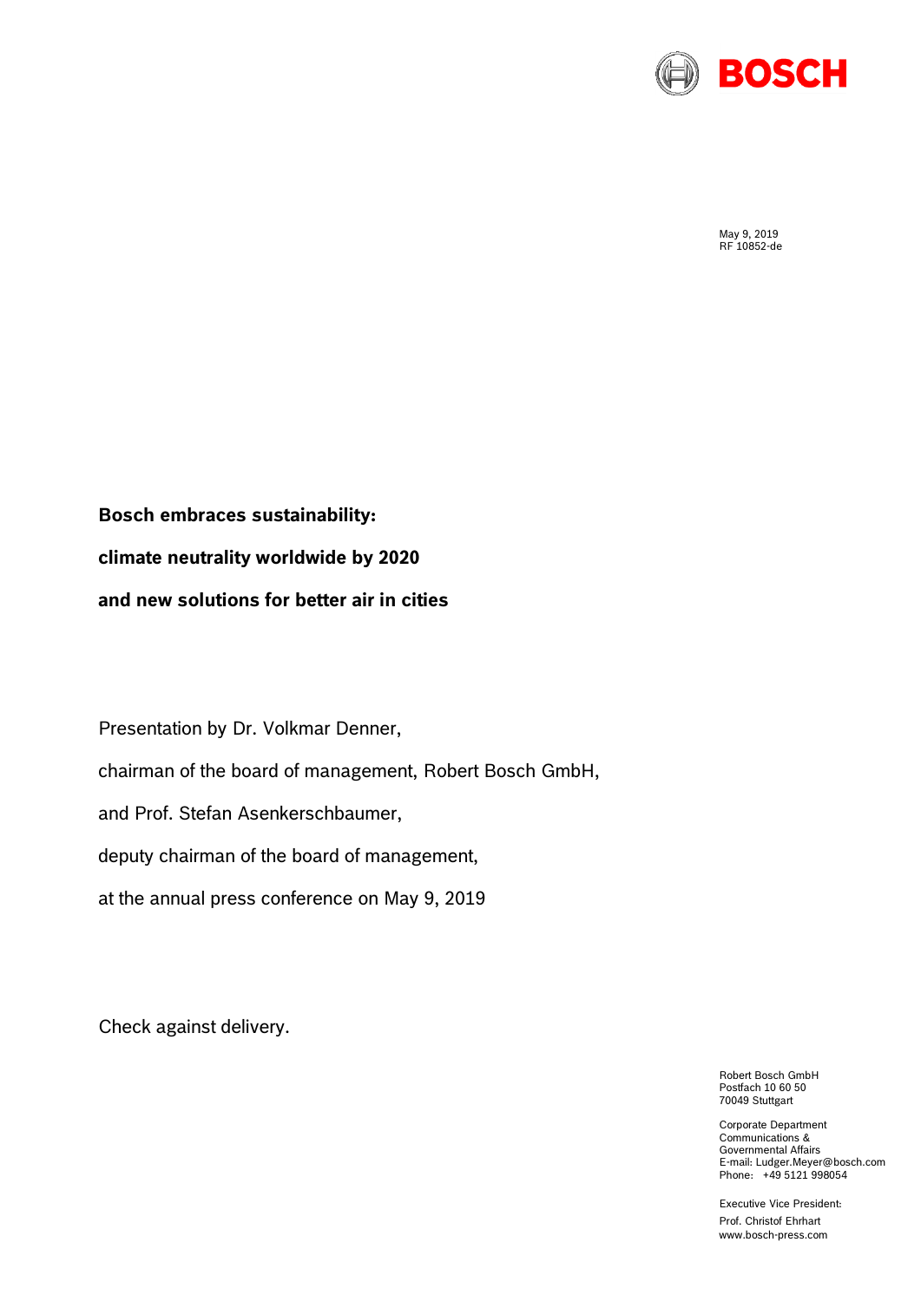

May 9, 2019 RF 10852-de

**Bosch embraces sustainability: climate neutrality worldwide by 2020 and new solutions for better air in cities**

Presentation by Dr. Volkmar Denner,

chairman of the board of management, Robert Bosch GmbH,

and Prof. Stefan Asenkerschbaumer,

deputy chairman of the board of management,

at the annual press conference on May 9, 2019

Check against delivery.

Robert Bosch GmbH Postfach 10 60 50 70049 Stuttgart

Corporate Department Communications & Governmental Affairs E-mail: Ludger.Meyer@bosch.com Phone: +49 5121 998054

Executive Vice President: Prof. Christof Ehrhart www.bosch-press.com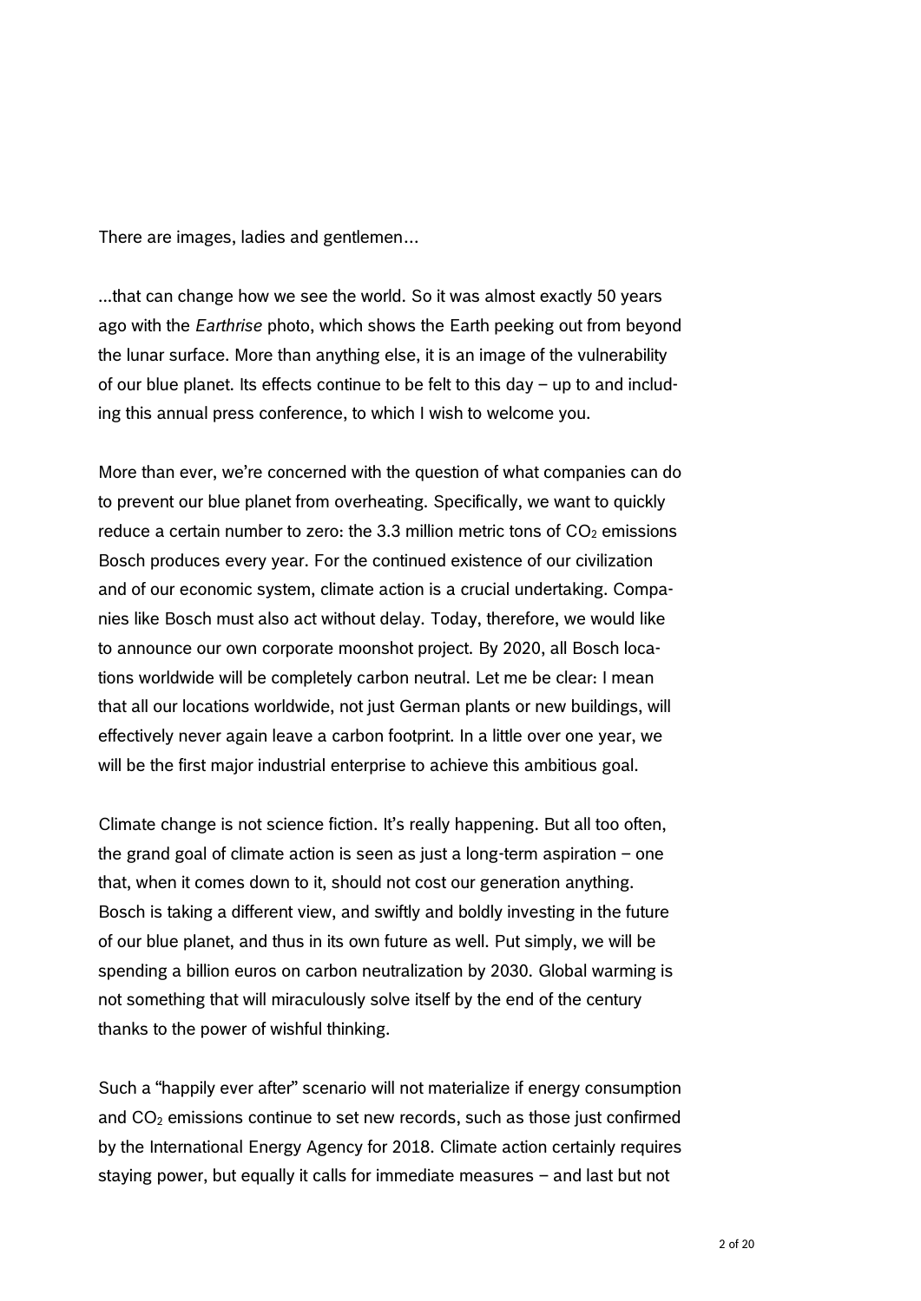There are images, ladies and gentlemen…

...that can change how we see the world. So it was almost exactly 50 years ago with the *Earthrise* photo, which shows the Earth peeking out from beyond the lunar surface. More than anything else, it is an image of the vulnerability of our blue planet. Its effects continue to be felt to this day – up to and including this annual press conference, to which I wish to welcome you.

More than ever, we're concerned with the question of what companies can do to prevent our blue planet from overheating. Specifically, we want to quickly reduce a certain number to zero: the 3.3 million metric tons of  $CO<sub>2</sub>$  emissions Bosch produces every year. For the continued existence of our civilization and of our economic system, climate action is a crucial undertaking. Companies like Bosch must also act without delay. Today, therefore, we would like to announce our own corporate moonshot project. By 2020, all Bosch locations worldwide will be completely carbon neutral. Let me be clear: I mean that all our locations worldwide, not just German plants or new buildings, will effectively never again leave a carbon footprint. In a little over one year, we will be the first major industrial enterprise to achieve this ambitious goal.

Climate change is not science fiction. It's really happening. But all too often, the grand goal of climate action is seen as just a long-term aspiration – one that, when it comes down to it, should not cost our generation anything. Bosch is taking a different view, and swiftly and boldly investing in the future of our blue planet, and thus in its own future as well. Put simply, we will be spending a billion euros on carbon neutralization by 2030. Global warming is not something that will miraculously solve itself by the end of the century thanks to the power of wishful thinking.

Such a "happily ever after" scenario will not materialize if energy consumption and  $CO<sub>2</sub>$  emissions continue to set new records, such as those just confirmed by the International Energy Agency for 2018. Climate action certainly requires staying power, but equally it calls for immediate measures – and last but not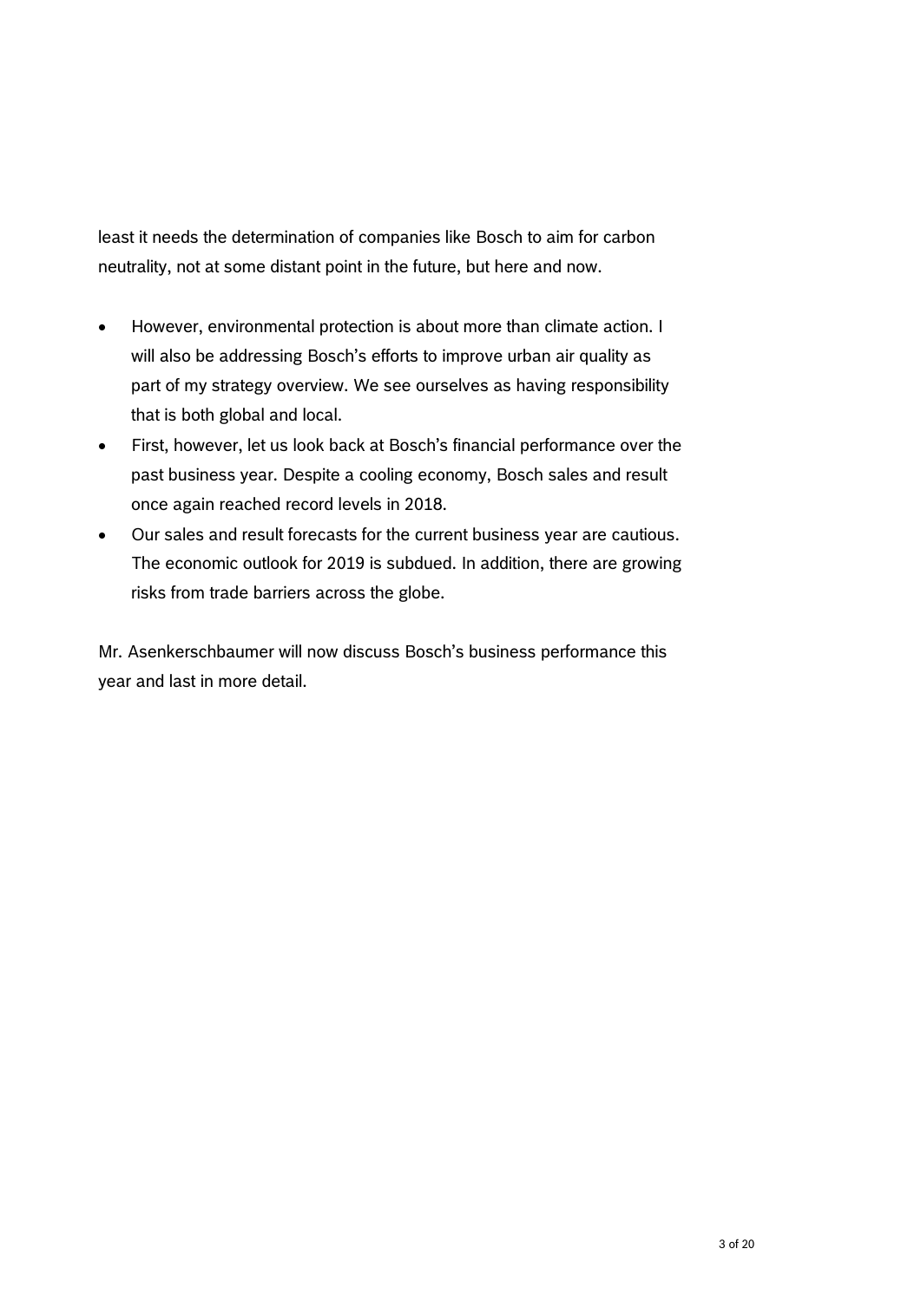least it needs the determination of companies like Bosch to aim for carbon neutrality, not at some distant point in the future, but here and now.

- However, environmental protection is about more than climate action. I will also be addressing Bosch's efforts to improve urban air quality as part of my strategy overview. We see ourselves as having responsibility that is both global and local.
- First, however, let us look back at Bosch's financial performance over the past business year. Despite a cooling economy, Bosch sales and result once again reached record levels in 2018.
- Our sales and result forecasts for the current business year are cautious. The economic outlook for 2019 is subdued. In addition, there are growing risks from trade barriers across the globe.

Mr. Asenkerschbaumer will now discuss Bosch's business performance this year and last in more detail.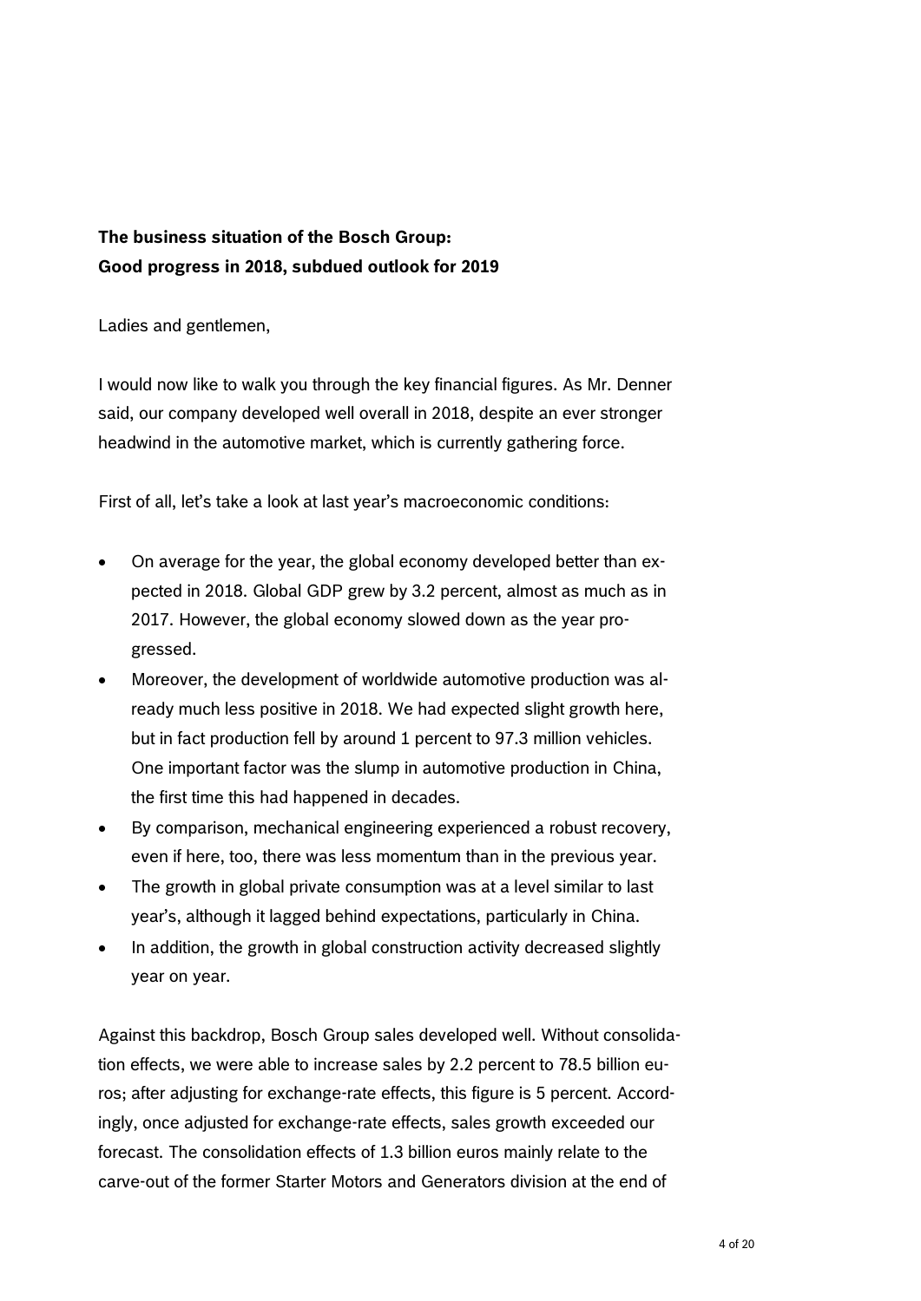# **The business situation of the Bosch Group: Good progress in 2018, subdued outlook for 2019**

Ladies and gentlemen,

I would now like to walk you through the key financial figures. As Mr. Denner said, our company developed well overall in 2018, despite an ever stronger headwind in the automotive market, which is currently gathering force.

First of all, let's take a look at last year's macroeconomic conditions:

- On average for the year, the global economy developed better than expected in 2018. Global GDP grew by 3.2 percent, almost as much as in 2017. However, the global economy slowed down as the year progressed.
- Moreover, the development of worldwide automotive production was already much less positive in 2018. We had expected slight growth here, but in fact production fell by around 1 percent to 97.3 million vehicles. One important factor was the slump in automotive production in China, the first time this had happened in decades.
- By comparison, mechanical engineering experienced a robust recovery, even if here, too, there was less momentum than in the previous year.
- The growth in global private consumption was at a level similar to last year's, although it lagged behind expectations, particularly in China.
- In addition, the growth in global construction activity decreased slightly year on year.

Against this backdrop, Bosch Group sales developed well. Without consolidation effects, we were able to increase sales by 2.2 percent to 78.5 billion euros; after adjusting for exchange-rate effects, this figure is 5 percent. Accordingly, once adjusted for exchange-rate effects, sales growth exceeded our forecast. The consolidation effects of 1.3 billion euros mainly relate to the carve-out of the former Starter Motors and Generators division at the end of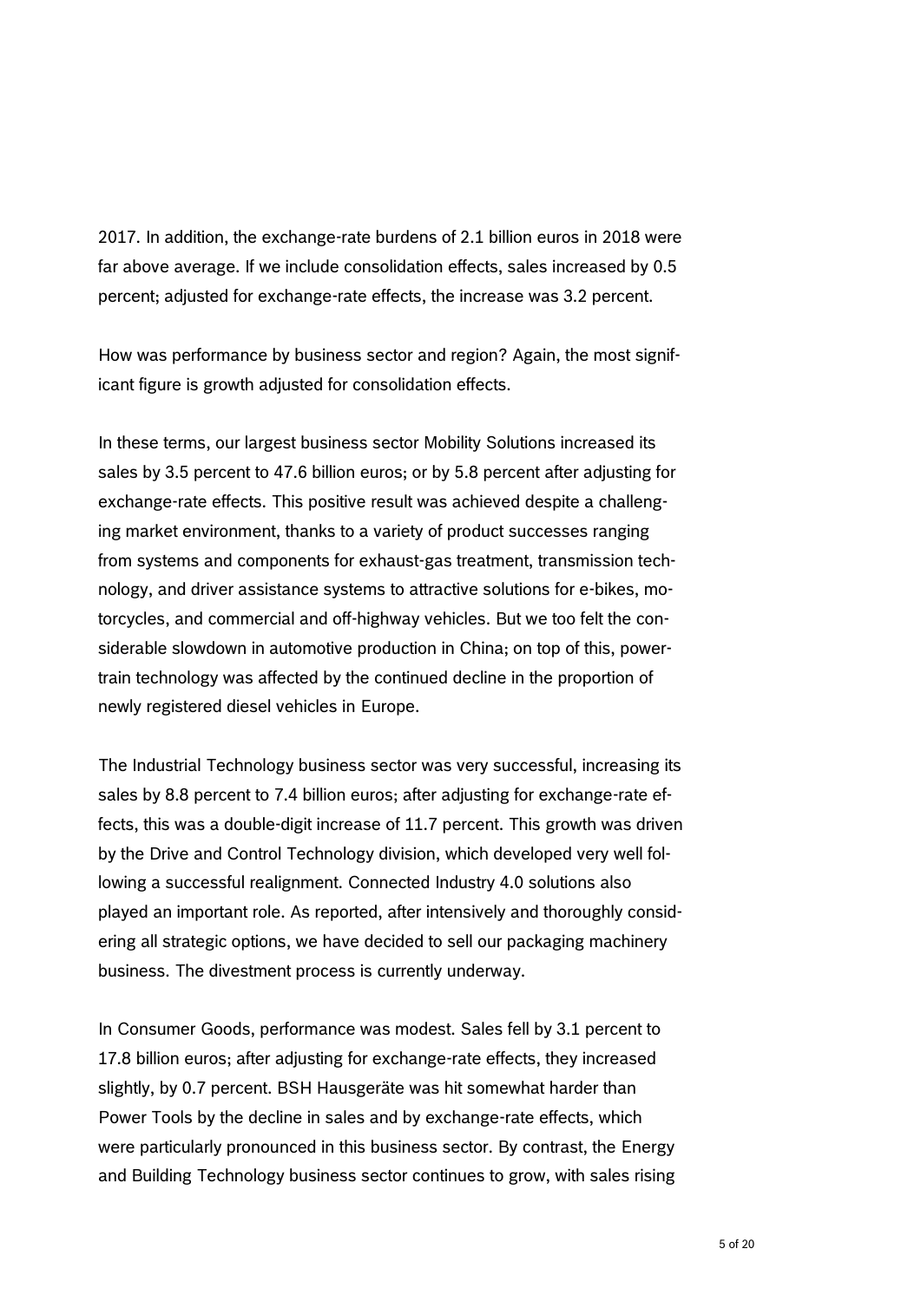2017. In addition, the exchange-rate burdens of 2.1 billion euros in 2018 were far above average. If we include consolidation effects, sales increased by 0.5 percent; adjusted for exchange-rate effects, the increase was 3.2 percent.

How was performance by business sector and region? Again, the most significant figure is growth adjusted for consolidation effects.

In these terms, our largest business sector Mobility Solutions increased its sales by 3.5 percent to 47.6 billion euros; or by 5.8 percent after adjusting for exchange-rate effects. This positive result was achieved despite a challenging market environment, thanks to a variety of product successes ranging from systems and components for exhaust-gas treatment, transmission technology, and driver assistance systems to attractive solutions for e-bikes, motorcycles, and commercial and off-highway vehicles. But we too felt the considerable slowdown in automotive production in China; on top of this, powertrain technology was affected by the continued decline in the proportion of newly registered diesel vehicles in Europe.

The Industrial Technology business sector was very successful, increasing its sales by 8.8 percent to 7.4 billion euros; after adjusting for exchange-rate effects, this was a double-digit increase of 11.7 percent. This growth was driven by the Drive and Control Technology division, which developed very well following a successful realignment. Connected Industry 4.0 solutions also played an important role. As reported, after intensively and thoroughly considering all strategic options, we have decided to sell our packaging machinery business. The divestment process is currently underway.

In Consumer Goods, performance was modest. Sales fell by 3.1 percent to 17.8 billion euros; after adjusting for exchange-rate effects, they increased slightly, by 0.7 percent. BSH Hausgeräte was hit somewhat harder than Power Tools by the decline in sales and by exchange-rate effects, which were particularly pronounced in this business sector. By contrast, the Energy and Building Technology business sector continues to grow, with sales rising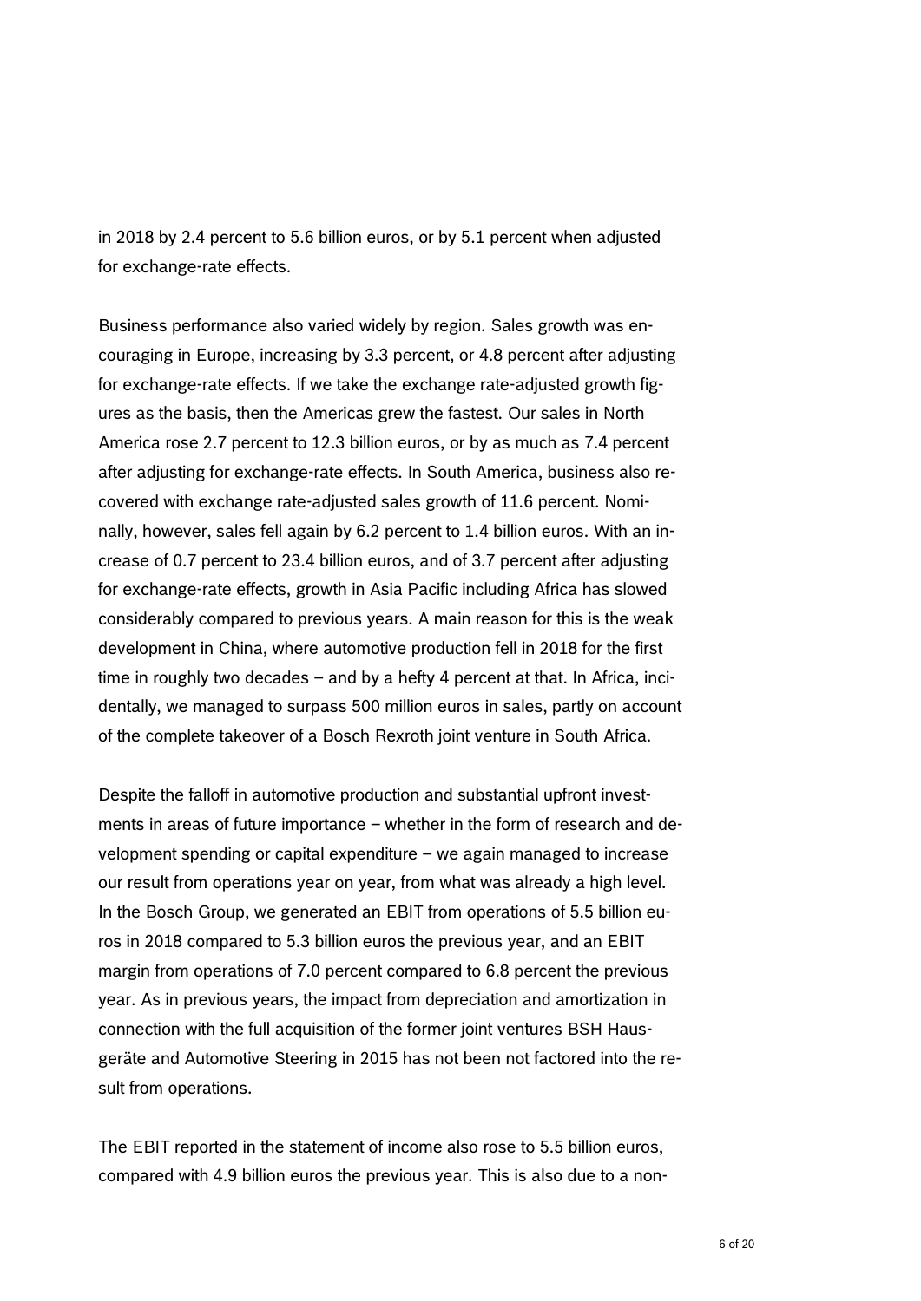in 2018 by 2.4 percent to 5.6 billion euros, or by 5.1 percent when adjusted for exchange-rate effects.

Business performance also varied widely by region. Sales growth was encouraging in Europe, increasing by 3.3 percent, or 4.8 percent after adjusting for exchange-rate effects. If we take the exchange rate-adjusted growth figures as the basis, then the Americas grew the fastest. Our sales in North America rose 2.7 percent to 12.3 billion euros, or by as much as 7.4 percent after adjusting for exchange-rate effects. In South America, business also recovered with exchange rate-adjusted sales growth of 11.6 percent. Nominally, however, sales fell again by 6.2 percent to 1.4 billion euros. With an increase of 0.7 percent to 23.4 billion euros, and of 3.7 percent after adjusting for exchange-rate effects, growth in Asia Pacific including Africa has slowed considerably compared to previous years. A main reason for this is the weak development in China, where automotive production fell in 2018 for the first time in roughly two decades – and by a hefty 4 percent at that. In Africa, incidentally, we managed to surpass 500 million euros in sales, partly on account of the complete takeover of a Bosch Rexroth joint venture in South Africa.

Despite the falloff in automotive production and substantial upfront investments in areas of future importance – whether in the form of research and development spending or capital expenditure – we again managed to increase our result from operations year on year, from what was already a high level. In the Bosch Group, we generated an EBIT from operations of 5.5 billion euros in 2018 compared to 5.3 billion euros the previous year, and an EBIT margin from operations of 7.0 percent compared to 6.8 percent the previous year. As in previous years, the impact from depreciation and amortization in connection with the full acquisition of the former joint ventures BSH Hausgeräte and Automotive Steering in 2015 has not been not factored into the result from operations.

The EBIT reported in the statement of income also rose to 5.5 billion euros, compared with 4.9 billion euros the previous year. This is also due to a non-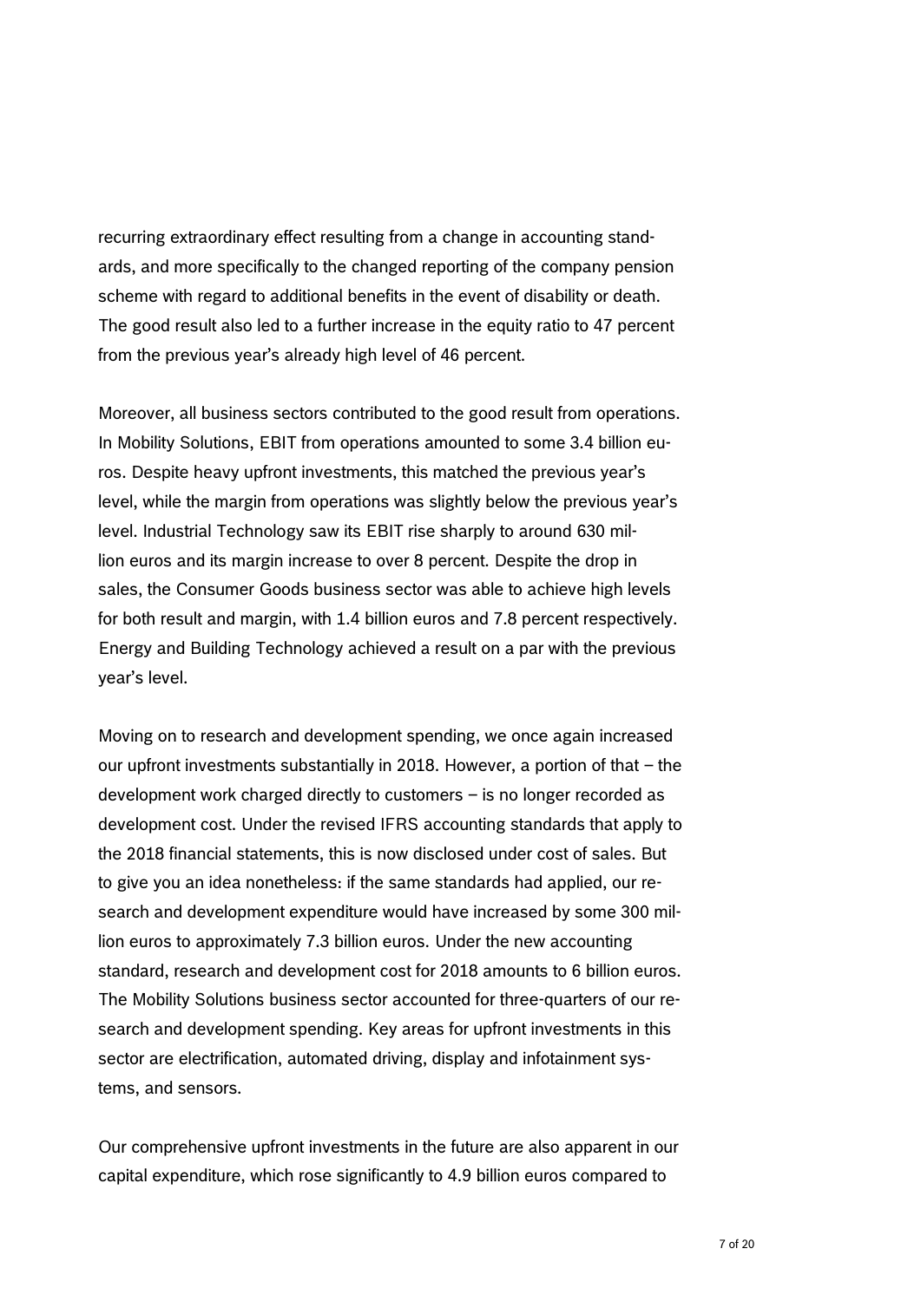recurring extraordinary effect resulting from a change in accounting standards, and more specifically to the changed reporting of the company pension scheme with regard to additional benefits in the event of disability or death. The good result also led to a further increase in the equity ratio to 47 percent from the previous year's already high level of 46 percent.

Moreover, all business sectors contributed to the good result from operations. In Mobility Solutions, EBIT from operations amounted to some 3.4 billion euros. Despite heavy upfront investments, this matched the previous year's level, while the margin from operations was slightly below the previous year's level. Industrial Technology saw its EBIT rise sharply to around 630 million euros and its margin increase to over 8 percent. Despite the drop in sales, the Consumer Goods business sector was able to achieve high levels for both result and margin, with 1.4 billion euros and 7.8 percent respectively. Energy and Building Technology achieved a result on a par with the previous year's level.

Moving on to research and development spending, we once again increased our upfront investments substantially in 2018. However, a portion of that – the development work charged directly to customers – is no longer recorded as development cost. Under the revised IFRS accounting standards that apply to the 2018 financial statements, this is now disclosed under cost of sales. But to give you an idea nonetheless: if the same standards had applied, our research and development expenditure would have increased by some 300 million euros to approximately 7.3 billion euros. Under the new accounting standard, research and development cost for 2018 amounts to 6 billion euros. The Mobility Solutions business sector accounted for three-quarters of our research and development spending. Key areas for upfront investments in this sector are electrification, automated driving, display and infotainment systems, and sensors.

Our comprehensive upfront investments in the future are also apparent in our capital expenditure, which rose significantly to 4.9 billion euros compared to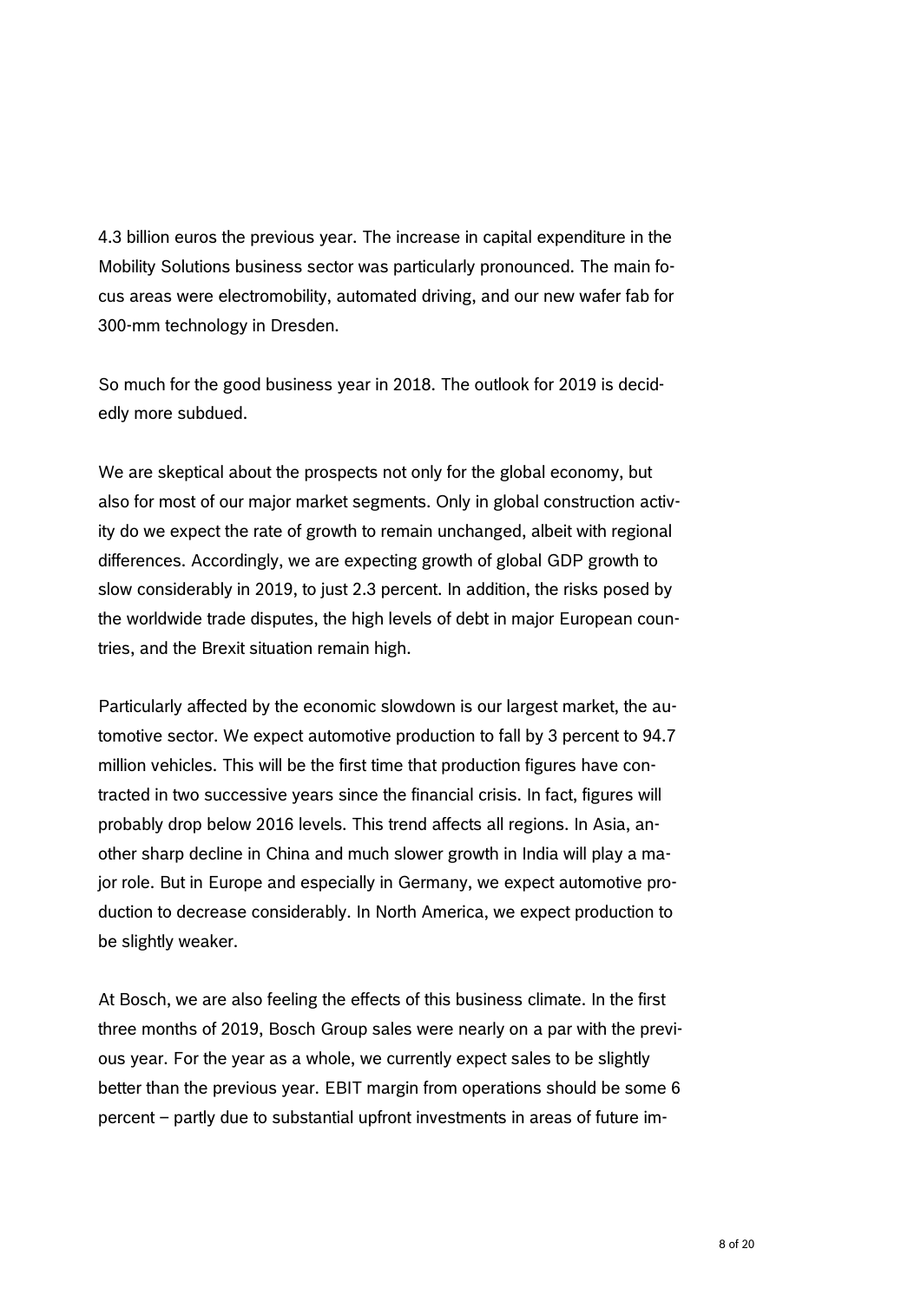4.3 billion euros the previous year. The increase in capital expenditure in the Mobility Solutions business sector was particularly pronounced. The main focus areas were electromobility, automated driving, and our new wafer fab for 300-mm technology in Dresden.

So much for the good business year in 2018. The outlook for 2019 is decidedly more subdued.

We are skeptical about the prospects not only for the global economy, but also for most of our major market segments. Only in global construction activity do we expect the rate of growth to remain unchanged, albeit with regional differences. Accordingly, we are expecting growth of global GDP growth to slow considerably in 2019, to just 2.3 percent. In addition, the risks posed by the worldwide trade disputes, the high levels of debt in major European countries, and the Brexit situation remain high.

Particularly affected by the economic slowdown is our largest market, the automotive sector. We expect automotive production to fall by 3 percent to 94.7 million vehicles. This will be the first time that production figures have contracted in two successive years since the financial crisis. In fact, figures will probably drop below 2016 levels. This trend affects all regions. In Asia, another sharp decline in China and much slower growth in India will play a major role. But in Europe and especially in Germany, we expect automotive production to decrease considerably. In North America, we expect production to be slightly weaker.

At Bosch, we are also feeling the effects of this business climate. In the first three months of 2019, Bosch Group sales were nearly on a par with the previous year. For the year as a whole, we currently expect sales to be slightly better than the previous year. EBIT margin from operations should be some 6 percent – partly due to substantial upfront investments in areas of future im-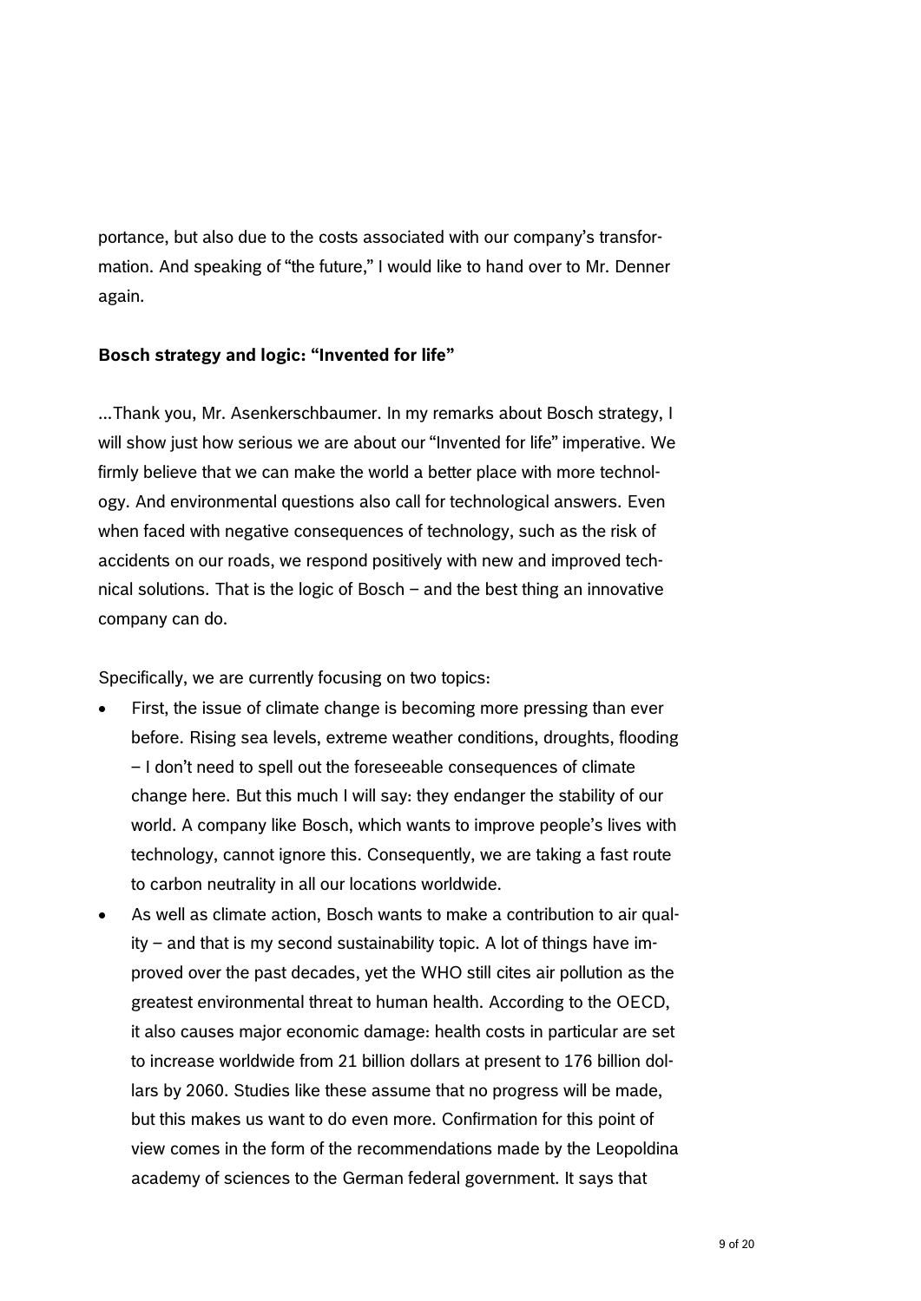portance, but also due to the costs associated with our company's transformation. And speaking of "the future," I would like to hand over to Mr. Denner again.

### **Bosch strategy and logic: "Invented for life"**

...Thank you, Mr. Asenkerschbaumer. In my remarks about Bosch strategy, I will show just how serious we are about our "Invented for life" imperative. We firmly believe that we can make the world a better place with more technology. And environmental questions also call for technological answers. Even when faced with negative consequences of technology, such as the risk of accidents on our roads, we respond positively with new and improved technical solutions. That is the logic of Bosch – and the best thing an innovative company can do.

Specifically, we are currently focusing on two topics:

- First, the issue of climate change is becoming more pressing than ever before. Rising sea levels, extreme weather conditions, droughts, flooding – I don't need to spell out the foreseeable consequences of climate change here. But this much I will say: they endanger the stability of our world. A company like Bosch, which wants to improve people's lives with technology, cannot ignore this. Consequently, we are taking a fast route to carbon neutrality in all our locations worldwide.
- As well as climate action, Bosch wants to make a contribution to air quality – and that is my second sustainability topic. A lot of things have improved over the past decades, yet the WHO still cites air pollution as the greatest environmental threat to human health. According to the OECD, it also causes major economic damage: health costs in particular are set to increase worldwide from 21 billion dollars at present to 176 billion dollars by 2060. Studies like these assume that no progress will be made, but this makes us want to do even more. Confirmation for this point of view comes in the form of the recommendations made by the Leopoldina academy of sciences to the German federal government. It says that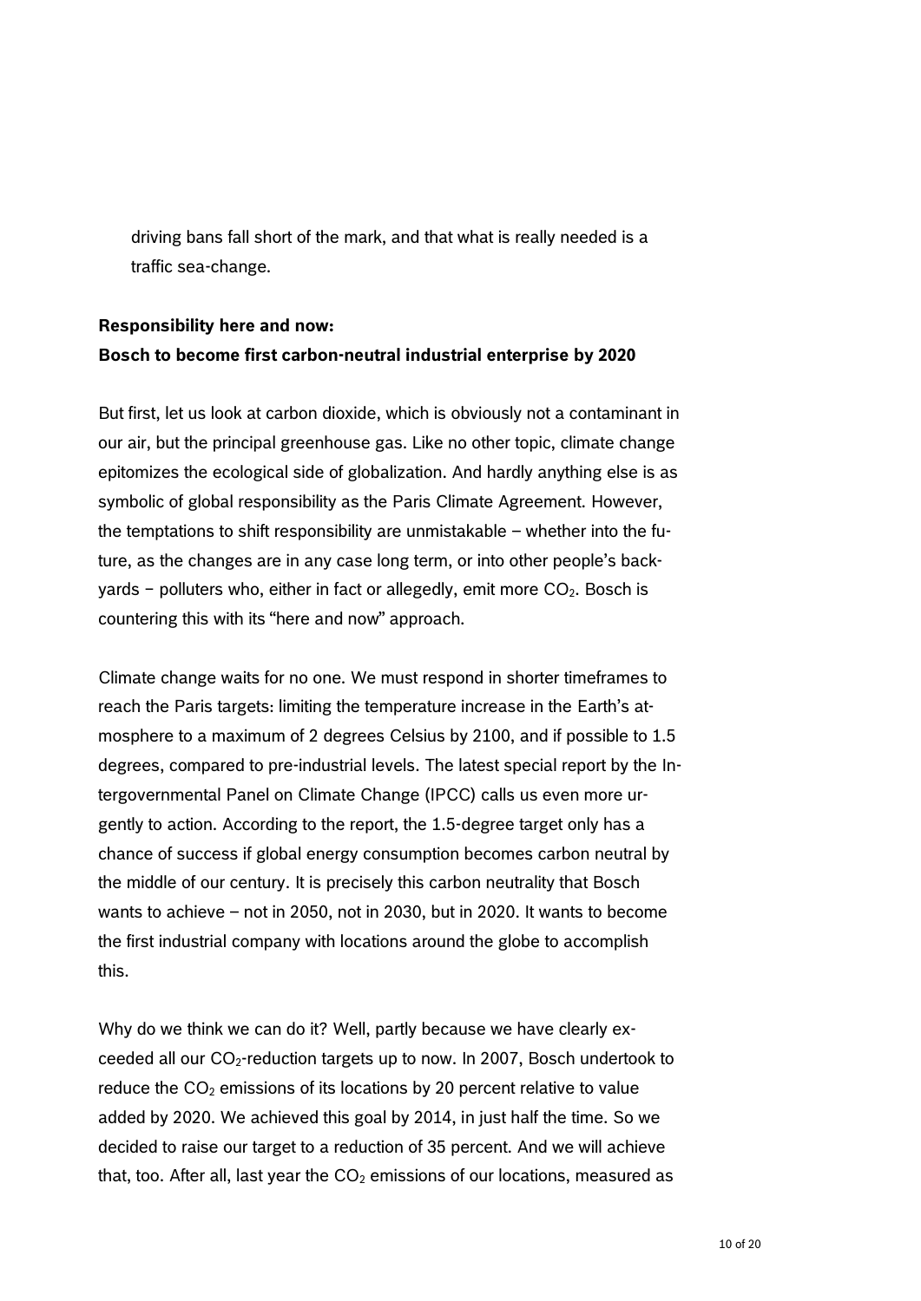driving bans fall short of the mark, and that what is really needed is a traffic sea-change.

# **Responsibility here and now: Bosch to become first carbon-neutral industrial enterprise by 2020**

But first, let us look at carbon dioxide, which is obviously not a contaminant in our air, but the principal greenhouse gas. Like no other topic, climate change epitomizes the ecological side of globalization. And hardly anything else is as symbolic of global responsibility as the Paris Climate Agreement. However, the temptations to shift responsibility are unmistakable – whether into the future, as the changes are in any case long term, or into other people's backyards – polluters who, either in fact or allegedly, emit more  $CO<sub>2</sub>$ . Bosch is countering this with its "here and now" approach.

Climate change waits for no one. We must respond in shorter timeframes to reach the Paris targets: limiting the temperature increase in the Earth's atmosphere to a maximum of 2 degrees Celsius by 2100, and if possible to 1.5 degrees, compared to pre-industrial levels. The latest special report by the Intergovernmental Panel on Climate Change (IPCC) calls us even more urgently to action. According to the report, the 1.5-degree target only has a chance of success if global energy consumption becomes carbon neutral by the middle of our century. It is precisely this carbon neutrality that Bosch wants to achieve – not in 2050, not in 2030, but in 2020. It wants to become the first industrial company with locations around the globe to accomplish this.

Why do we think we can do it? Well, partly because we have clearly exceeded all our  $CO<sub>2</sub>$ -reduction targets up to now. In 2007, Bosch undertook to reduce the  $CO<sub>2</sub>$  emissions of its locations by 20 percent relative to value added by 2020. We achieved this goal by 2014, in just half the time. So we decided to raise our target to a reduction of 35 percent. And we will achieve that, too. After all, last year the  $CO<sub>2</sub>$  emissions of our locations, measured as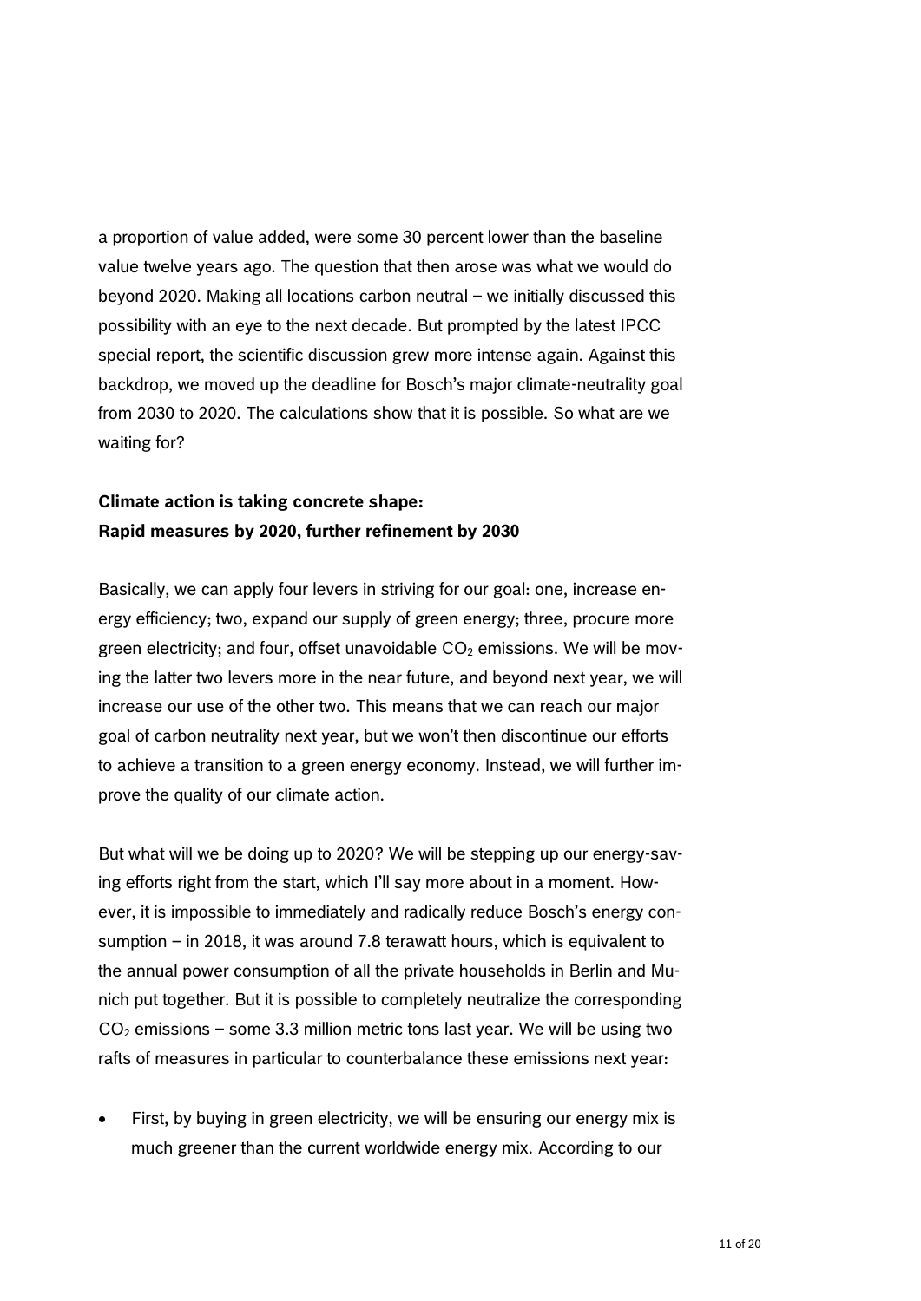a proportion of value added, were some 30 percent lower than the baseline value twelve years ago. The question that then arose was what we would do beyond 2020. Making all locations carbon neutral – we initially discussed this possibility with an eye to the next decade. But prompted by the latest IPCC special report, the scientific discussion grew more intense again. Against this backdrop, we moved up the deadline for Bosch's major climate-neutrality goal from 2030 to 2020. The calculations show that it is possible. So what are we waiting for?

### **Climate action is taking concrete shape: Rapid measures by 2020, further refinement by 2030**

Basically, we can apply four levers in striving for our goal: one, increase energy efficiency; two, expand our supply of green energy; three, procure more green electricity; and four, offset unavoidable  $CO<sub>2</sub>$  emissions. We will be moving the latter two levers more in the near future, and beyond next year, we will increase our use of the other two. This means that we can reach our major goal of carbon neutrality next year, but we won't then discontinue our efforts to achieve a transition to a green energy economy. Instead, we will further improve the quality of our climate action.

But what will we be doing up to 2020? We will be stepping up our energy-saving efforts right from the start, which I'll say more about in a moment. However, it is impossible to immediately and radically reduce Bosch's energy consumption – in 2018, it was around 7.8 terawatt hours, which is equivalent to the annual power consumption of all the private households in Berlin and Munich put together. But it is possible to completely neutralize the corresponding  $CO<sub>2</sub>$  emissions – some 3.3 million metric tons last year. We will be using two rafts of measures in particular to counterbalance these emissions next year:

 First, by buying in green electricity, we will be ensuring our energy mix is much greener than the current worldwide energy mix. According to our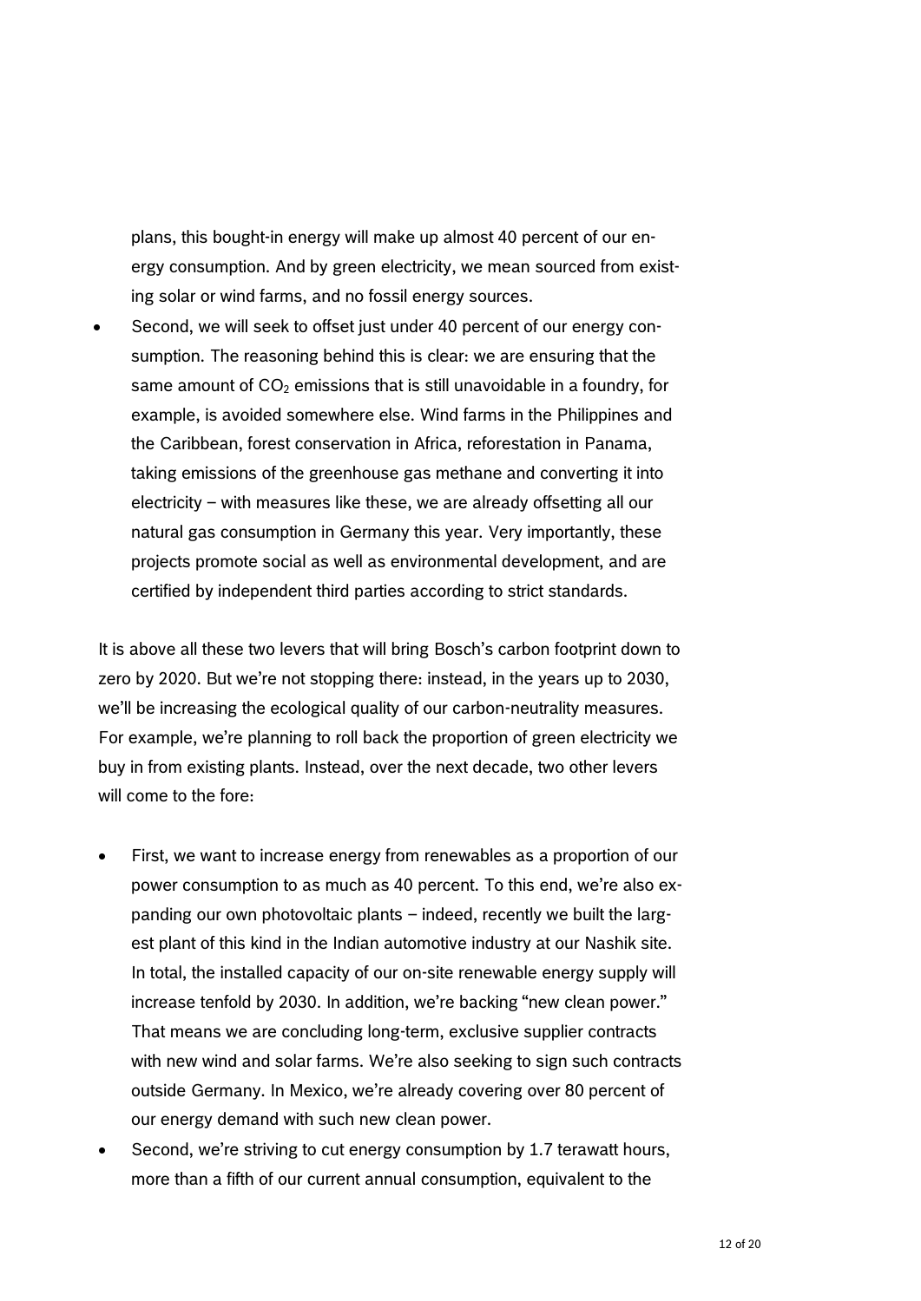plans, this bought-in energy will make up almost 40 percent of our energy consumption. And by green electricity, we mean sourced from existing solar or wind farms, and no fossil energy sources.

 Second, we will seek to offset just under 40 percent of our energy consumption. The reasoning behind this is clear: we are ensuring that the same amount of  $CO<sub>2</sub>$  emissions that is still unavoidable in a foundry, for example, is avoided somewhere else. Wind farms in the Philippines and the Caribbean, forest conservation in Africa, reforestation in Panama, taking emissions of the greenhouse gas methane and converting it into electricity – with measures like these, we are already offsetting all our natural gas consumption in Germany this year. Very importantly, these projects promote social as well as environmental development, and are certified by independent third parties according to strict standards.

It is above all these two levers that will bring Bosch's carbon footprint down to zero by 2020. But we're not stopping there: instead, in the years up to 2030, we'll be increasing the ecological quality of our carbon-neutrality measures. For example, we're planning to roll back the proportion of green electricity we buy in from existing plants. Instead, over the next decade, two other levers will come to the fore:

- First, we want to increase energy from renewables as a proportion of our power consumption to as much as 40 percent. To this end, we're also expanding our own photovoltaic plants – indeed, recently we built the largest plant of this kind in the Indian automotive industry at our Nashik site. In total, the installed capacity of our on-site renewable energy supply will increase tenfold by 2030. In addition, we're backing "new clean power." That means we are concluding long-term, exclusive supplier contracts with new wind and solar farms. We're also seeking to sign such contracts outside Germany. In Mexico, we're already covering over 80 percent of our energy demand with such new clean power.
- Second, we're striving to cut energy consumption by 1.7 terawatt hours, more than a fifth of our current annual consumption, equivalent to the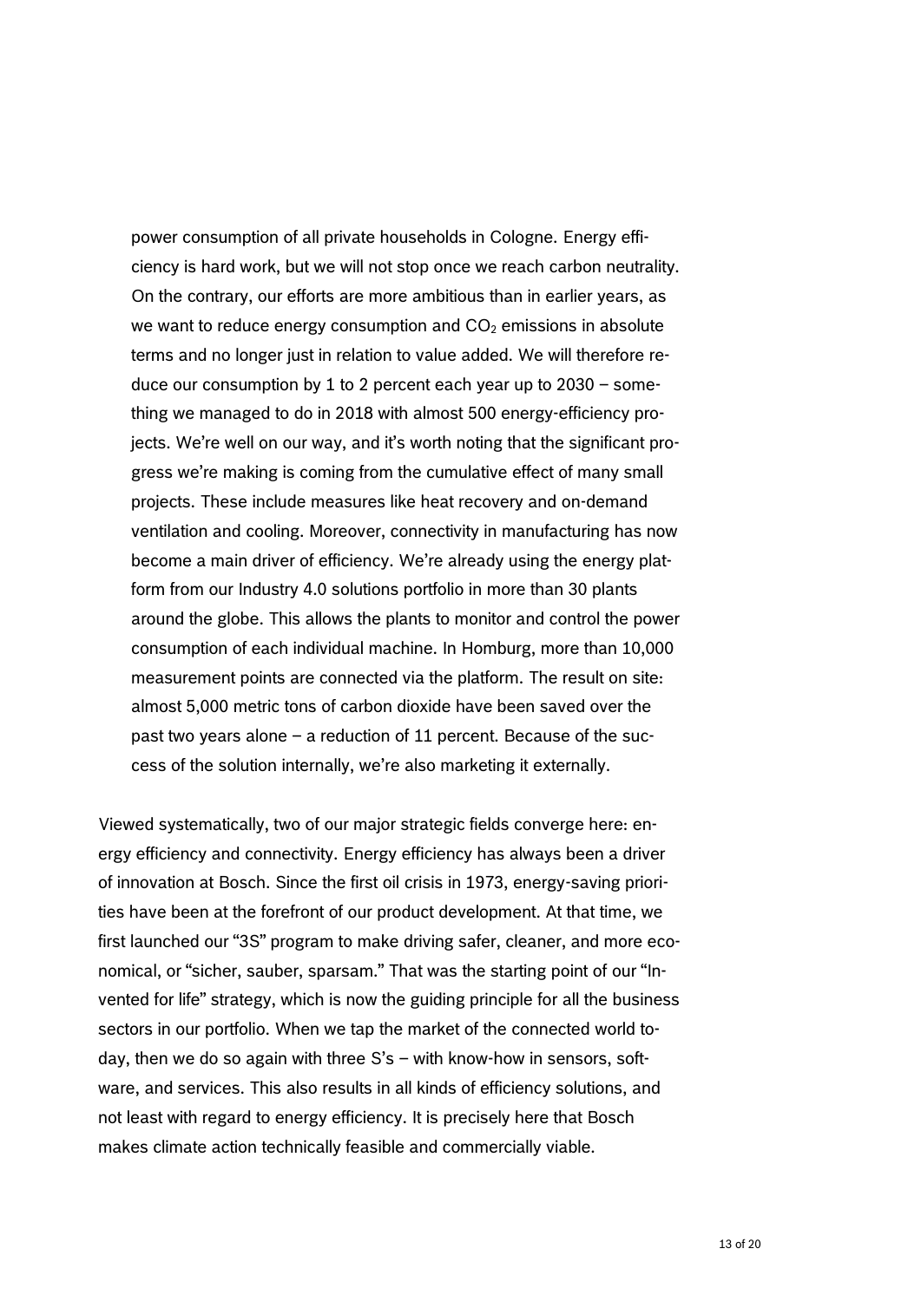power consumption of all private households in Cologne. Energy efficiency is hard work, but we will not stop once we reach carbon neutrality. On the contrary, our efforts are more ambitious than in earlier years, as we want to reduce energy consumption and  $CO<sub>2</sub>$  emissions in absolute terms and no longer just in relation to value added. We will therefore reduce our consumption by 1 to 2 percent each year up to 2030 – something we managed to do in 2018 with almost 500 energy-efficiency projects. We're well on our way, and it's worth noting that the significant progress we're making is coming from the cumulative effect of many small projects. These include measures like heat recovery and on-demand ventilation and cooling. Moreover, connectivity in manufacturing has now become a main driver of efficiency. We're already using the energy platform from our Industry 4.0 solutions portfolio in more than 30 plants around the globe. This allows the plants to monitor and control the power consumption of each individual machine. In Homburg, more than 10,000 measurement points are connected via the platform. The result on site: almost 5,000 metric tons of carbon dioxide have been saved over the past two years alone – a reduction of 11 percent. Because of the success of the solution internally, we're also marketing it externally.

Viewed systematically, two of our major strategic fields converge here: energy efficiency and connectivity. Energy efficiency has always been a driver of innovation at Bosch. Since the first oil crisis in 1973, energy-saving priorities have been at the forefront of our product development. At that time, we first launched our "3S" program to make driving safer, cleaner, and more economical, or "sicher, sauber, sparsam." That was the starting point of our "Invented for life" strategy, which is now the guiding principle for all the business sectors in our portfolio. When we tap the market of the connected world today, then we do so again with three S's – with know-how in sensors, software, and services. This also results in all kinds of efficiency solutions, and not least with regard to energy efficiency. It is precisely here that Bosch makes climate action technically feasible and commercially viable.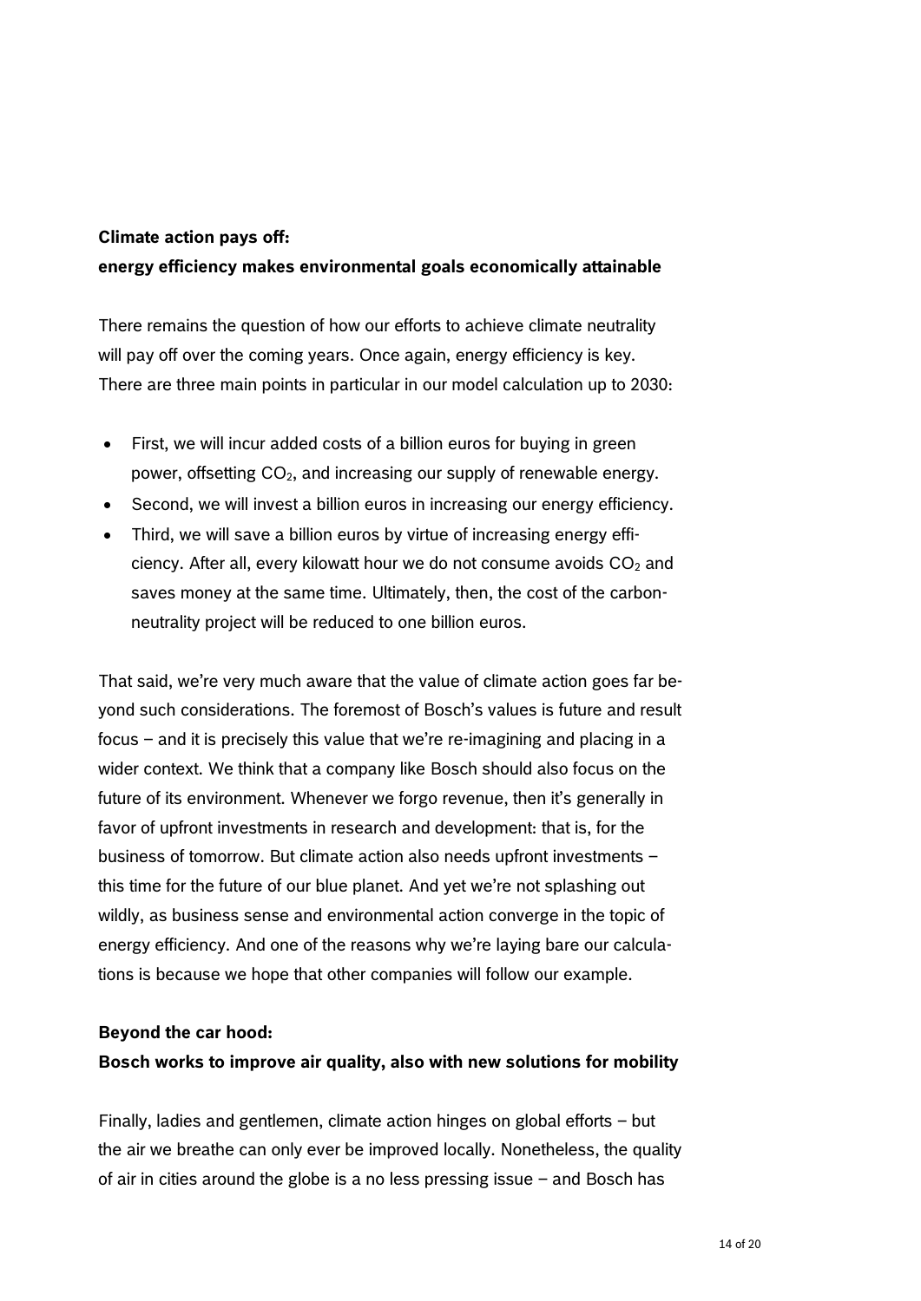### **Climate action pays off:**

### **energy efficiency makes environmental goals economically attainable**

There remains the question of how our efforts to achieve climate neutrality will pay off over the coming years. Once again, energy efficiency is key. There are three main points in particular in our model calculation up to 2030:

- First, we will incur added costs of a billion euros for buying in green power, offsetting CO2, and increasing our supply of renewable energy.
- Second, we will invest a billion euros in increasing our energy efficiency.
- Third, we will save a billion euros by virtue of increasing energy efficiency. After all, every kilowatt hour we do not consume avoids  $CO<sub>2</sub>$  and saves money at the same time. Ultimately, then, the cost of the carbonneutrality project will be reduced to one billion euros.

That said, we're very much aware that the value of climate action goes far beyond such considerations. The foremost of Bosch's values is future and result focus – and it is precisely this value that we're re-imagining and placing in a wider context. We think that a company like Bosch should also focus on the future of its environment. Whenever we forgo revenue, then it's generally in favor of upfront investments in research and development: that is, for the business of tomorrow. But climate action also needs upfront investments – this time for the future of our blue planet. And yet we're not splashing out wildly, as business sense and environmental action converge in the topic of energy efficiency. And one of the reasons why we're laying bare our calculations is because we hope that other companies will follow our example.

#### **Beyond the car hood:**

#### **Bosch works to improve air quality, also with new solutions for mobility**

Finally, ladies and gentlemen, climate action hinges on global efforts – but the air we breathe can only ever be improved locally. Nonetheless, the quality of air in cities around the globe is a no less pressing issue – and Bosch has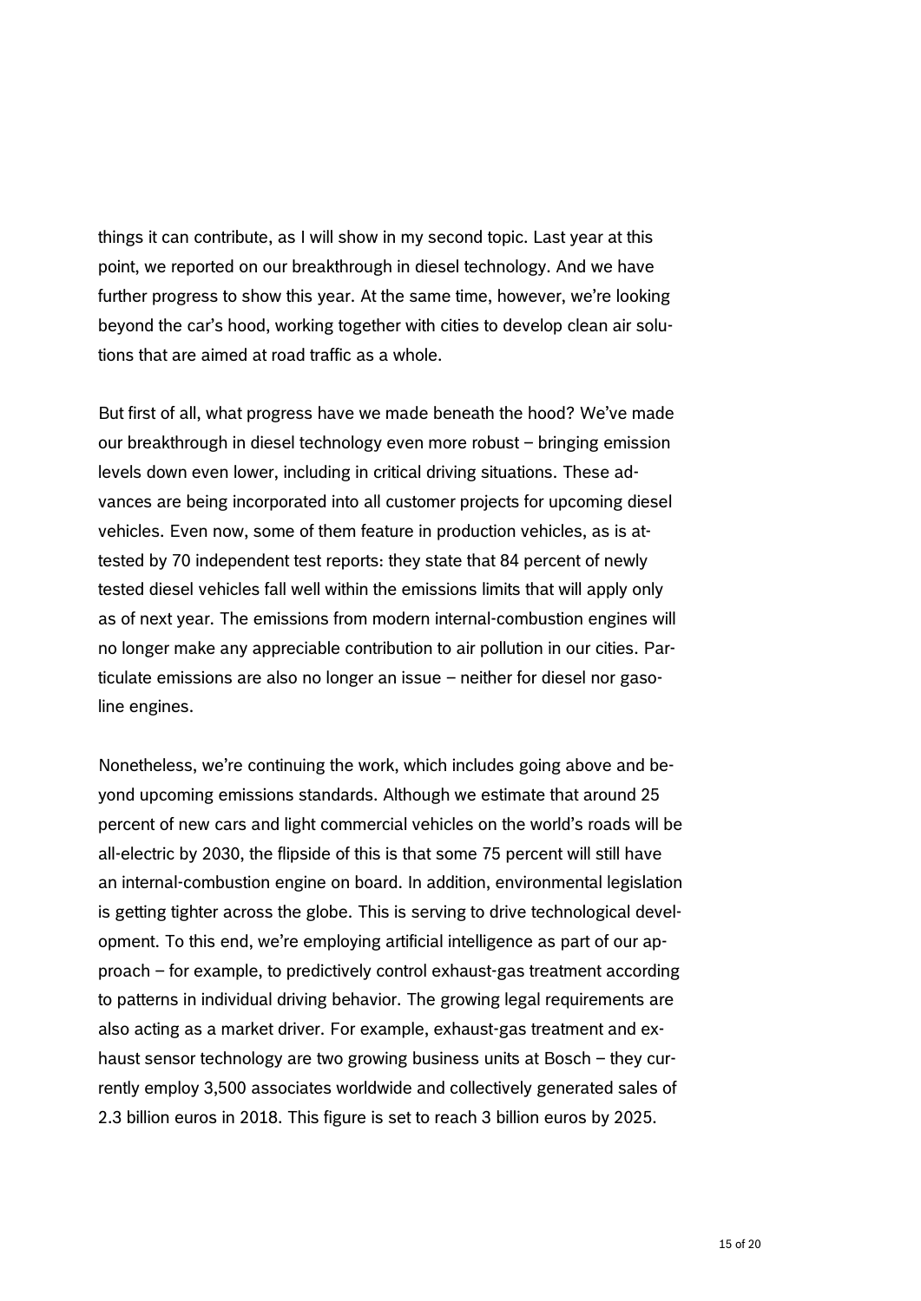things it can contribute, as I will show in my second topic. Last year at this point, we reported on our breakthrough in diesel technology. And we have further progress to show this year. At the same time, however, we're looking beyond the car's hood, working together with cities to develop clean air solutions that are aimed at road traffic as a whole.

But first of all, what progress have we made beneath the hood? We've made our breakthrough in diesel technology even more robust – bringing emission levels down even lower, including in critical driving situations. These advances are being incorporated into all customer projects for upcoming diesel vehicles. Even now, some of them feature in production vehicles, as is attested by 70 independent test reports: they state that 84 percent of newly tested diesel vehicles fall well within the emissions limits that will apply only as of next year. The emissions from modern internal-combustion engines will no longer make any appreciable contribution to air pollution in our cities. Particulate emissions are also no longer an issue – neither for diesel nor gasoline engines.

Nonetheless, we're continuing the work, which includes going above and beyond upcoming emissions standards. Although we estimate that around 25 percent of new cars and light commercial vehicles on the world's roads will be all-electric by 2030, the flipside of this is that some 75 percent will still have an internal-combustion engine on board. In addition, environmental legislation is getting tighter across the globe. This is serving to drive technological development. To this end, we're employing artificial intelligence as part of our approach – for example, to predictively control exhaust-gas treatment according to patterns in individual driving behavior. The growing legal requirements are also acting as a market driver. For example, exhaust-gas treatment and exhaust sensor technology are two growing business units at Bosch – they currently employ 3,500 associates worldwide and collectively generated sales of 2.3 billion euros in 2018. This figure is set to reach 3 billion euros by 2025.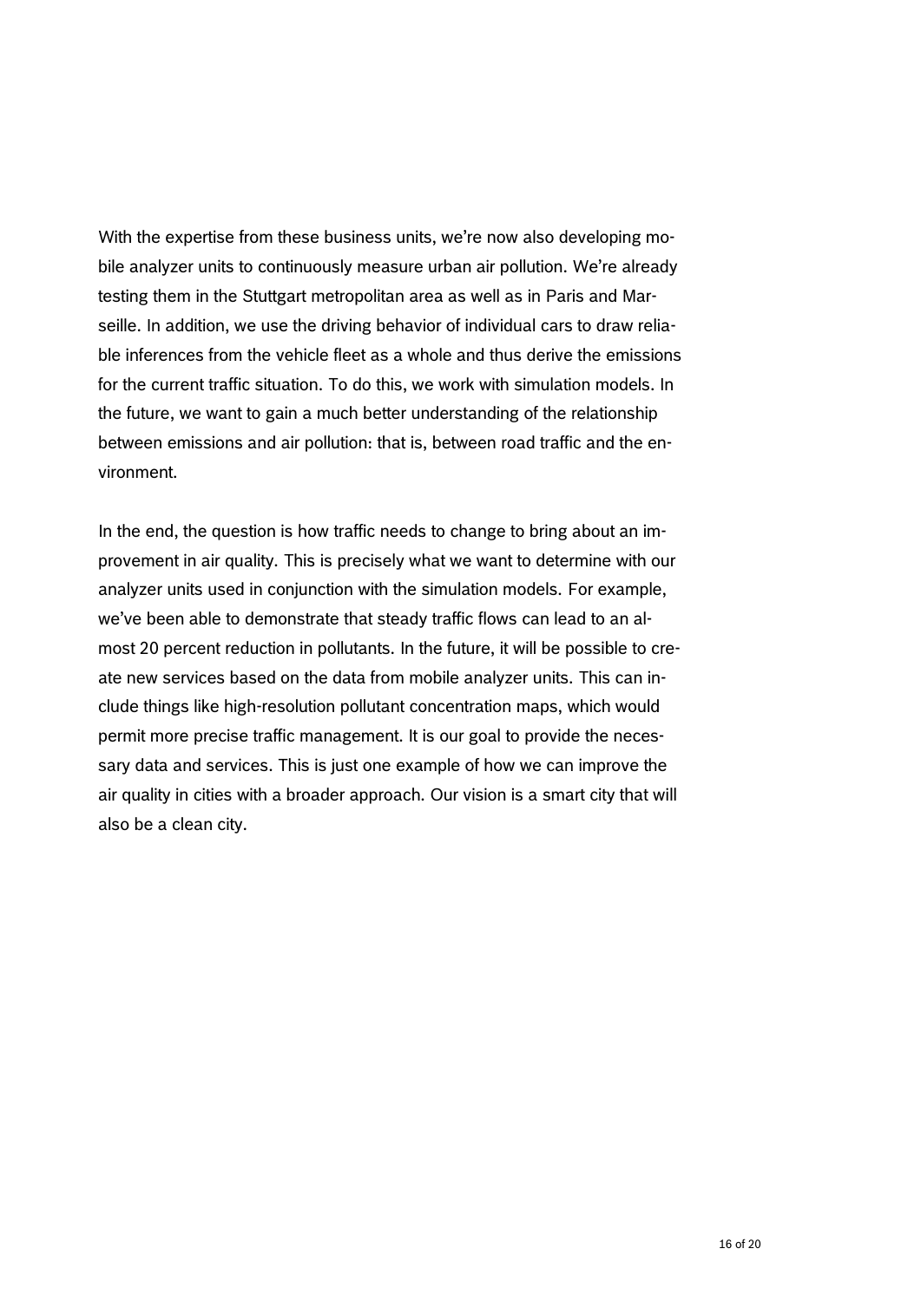With the expertise from these business units, we're now also developing mobile analyzer units to continuously measure urban air pollution. We're already testing them in the Stuttgart metropolitan area as well as in Paris and Marseille. In addition, we use the driving behavior of individual cars to draw reliable inferences from the vehicle fleet as a whole and thus derive the emissions for the current traffic situation. To do this, we work with simulation models. In the future, we want to gain a much better understanding of the relationship between emissions and air pollution: that is, between road traffic and the environment.

In the end, the question is how traffic needs to change to bring about an improvement in air quality. This is precisely what we want to determine with our analyzer units used in conjunction with the simulation models. For example, we've been able to demonstrate that steady traffic flows can lead to an almost 20 percent reduction in pollutants. In the future, it will be possible to create new services based on the data from mobile analyzer units. This can include things like high-resolution pollutant concentration maps, which would permit more precise traffic management. It is our goal to provide the necessary data and services. This is just one example of how we can improve the air quality in cities with a broader approach. Our vision is a smart city that will also be a clean city.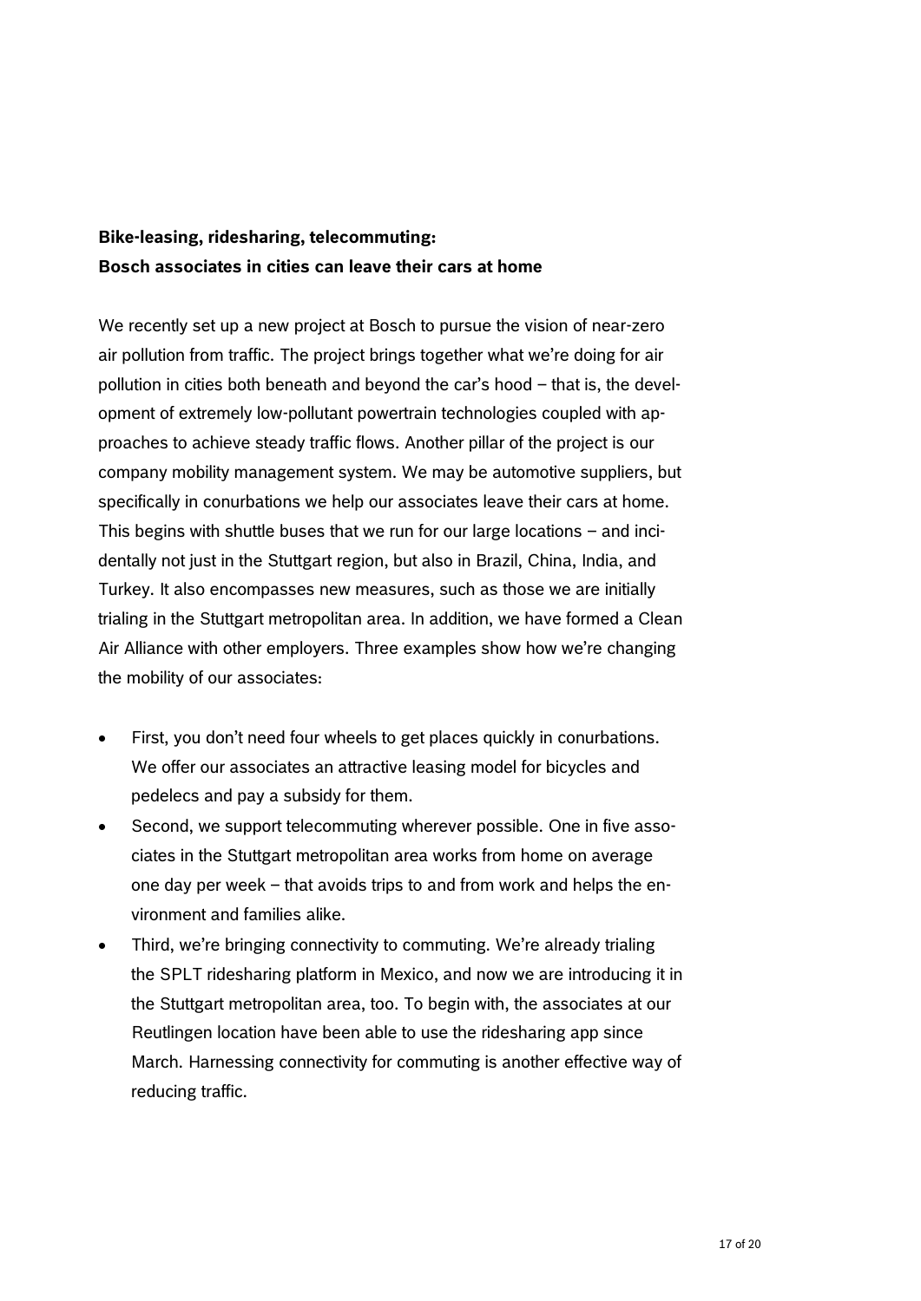## **Bike-leasing, ridesharing, telecommuting: Bosch associates in cities can leave their cars at home**

We recently set up a new project at Bosch to pursue the vision of near-zero air pollution from traffic. The project brings together what we're doing for air pollution in cities both beneath and beyond the car's hood – that is, the development of extremely low-pollutant powertrain technologies coupled with approaches to achieve steady traffic flows. Another pillar of the project is our company mobility management system. We may be automotive suppliers, but specifically in conurbations we help our associates leave their cars at home. This begins with shuttle buses that we run for our large locations – and incidentally not just in the Stuttgart region, but also in Brazil, China, India, and Turkey. It also encompasses new measures, such as those we are initially trialing in the Stuttgart metropolitan area. In addition, we have formed a Clean Air Alliance with other employers. Three examples show how we're changing the mobility of our associates:

- First, you don't need four wheels to get places quickly in conurbations. We offer our associates an attractive leasing model for bicycles and pedelecs and pay a subsidy for them.
- Second, we support telecommuting wherever possible. One in five associates in the Stuttgart metropolitan area works from home on average one day per week – that avoids trips to and from work and helps the environment and families alike.
- Third, we're bringing connectivity to commuting. We're already trialing the SPLT ridesharing platform in Mexico, and now we are introducing it in the Stuttgart metropolitan area, too. To begin with, the associates at our Reutlingen location have been able to use the ridesharing app since March. Harnessing connectivity for commuting is another effective way of reducing traffic.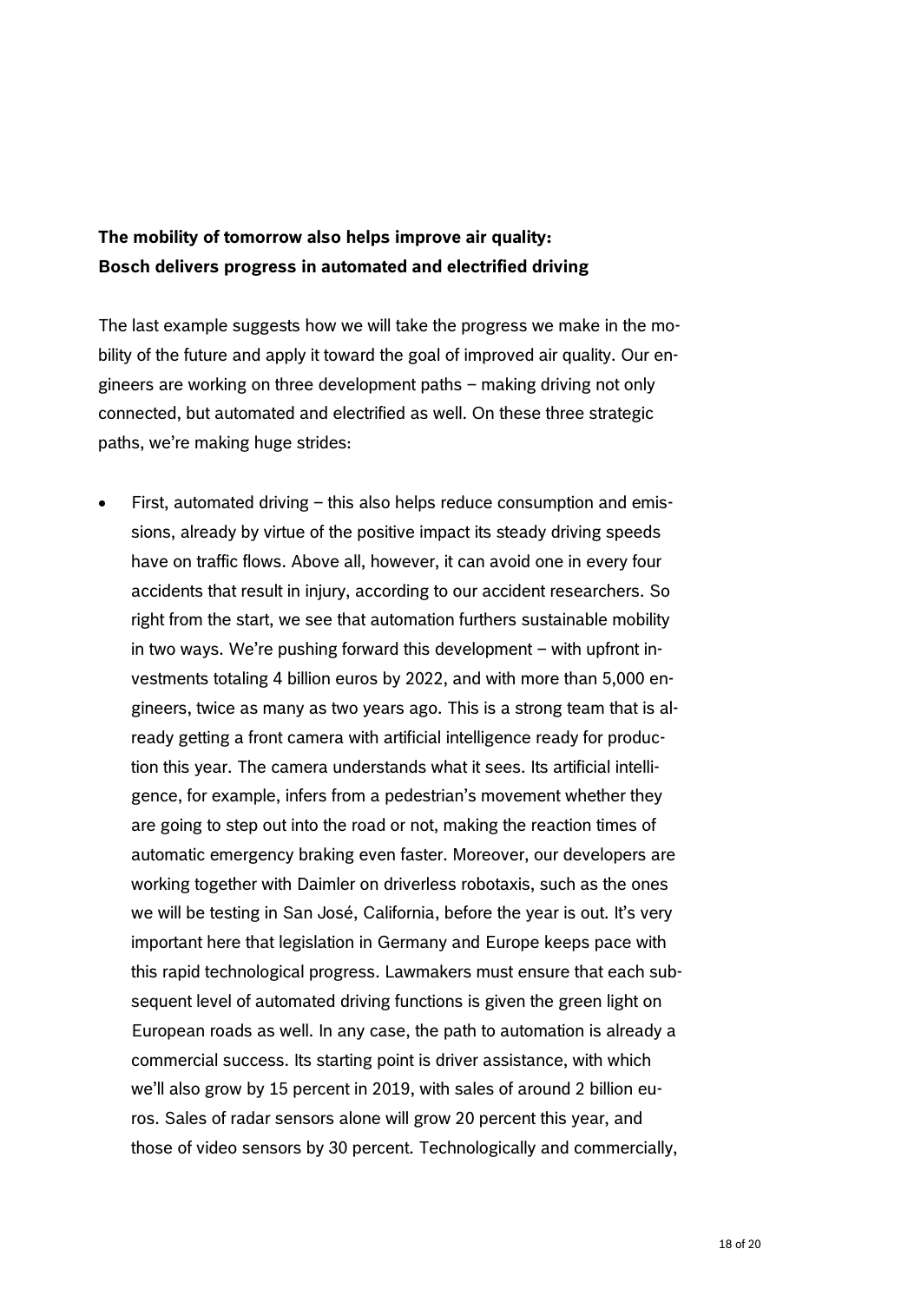# **The mobility of tomorrow also helps improve air quality: Bosch delivers progress in automated and electrified driving**

The last example suggests how we will take the progress we make in the mobility of the future and apply it toward the goal of improved air quality. Our engineers are working on three development paths – making driving not only connected, but automated and electrified as well. On these three strategic paths, we're making huge strides:

 First, automated driving – this also helps reduce consumption and emissions, already by virtue of the positive impact its steady driving speeds have on traffic flows. Above all, however, it can avoid one in every four accidents that result in injury, according to our accident researchers. So right from the start, we see that automation furthers sustainable mobility in two ways. We're pushing forward this development – with upfront investments totaling 4 billion euros by 2022, and with more than 5,000 engineers, twice as many as two years ago. This is a strong team that is already getting a front camera with artificial intelligence ready for production this year. The camera understands what it sees. Its artificial intelligence, for example, infers from a pedestrian's movement whether they are going to step out into the road or not, making the reaction times of automatic emergency braking even faster. Moreover, our developers are working together with Daimler on driverless robotaxis, such as the ones we will be testing in San José, California, before the year is out. It's very important here that legislation in Germany and Europe keeps pace with this rapid technological progress. Lawmakers must ensure that each subsequent level of automated driving functions is given the green light on European roads as well. In any case, the path to automation is already a commercial success. Its starting point is driver assistance, with which we'll also grow by 15 percent in 2019, with sales of around 2 billion euros. Sales of radar sensors alone will grow 20 percent this year, and those of video sensors by 30 percent. Technologically and commercially,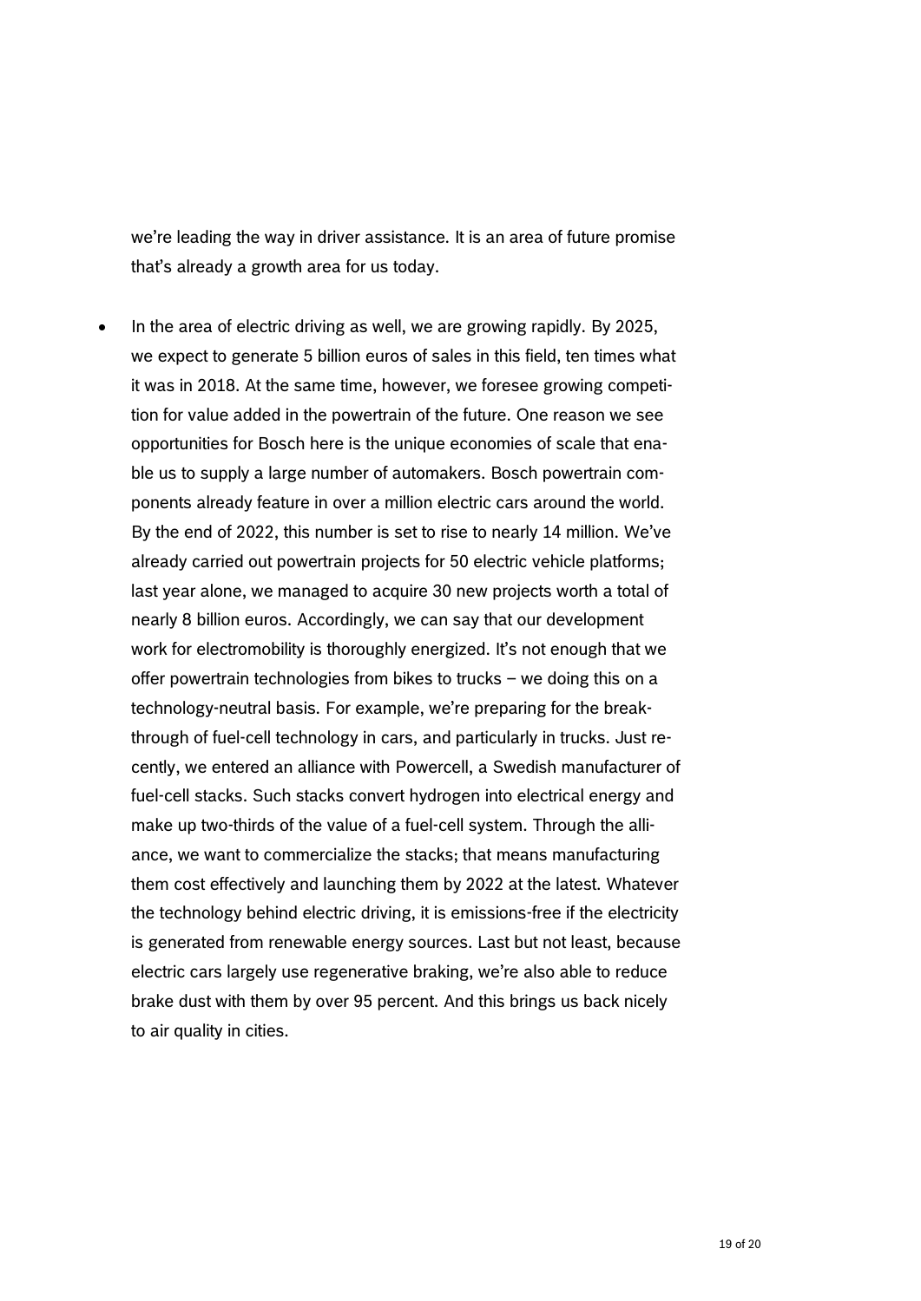we're leading the way in driver assistance. It is an area of future promise that's already a growth area for us today.

 $\bullet$  In the area of electric driving as well, we are growing rapidly. By 2025, we expect to generate 5 billion euros of sales in this field, ten times what it was in 2018. At the same time, however, we foresee growing competition for value added in the powertrain of the future. One reason we see opportunities for Bosch here is the unique economies of scale that enable us to supply a large number of automakers. Bosch powertrain components already feature in over a million electric cars around the world. By the end of 2022, this number is set to rise to nearly 14 million. We've already carried out powertrain projects for 50 electric vehicle platforms; last year alone, we managed to acquire 30 new projects worth a total of nearly 8 billion euros. Accordingly, we can say that our development work for electromobility is thoroughly energized. It's not enough that we offer powertrain technologies from bikes to trucks – we doing this on a technology-neutral basis. For example, we're preparing for the breakthrough of fuel-cell technology in cars, and particularly in trucks. Just recently, we entered an alliance with Powercell, a Swedish manufacturer of fuel-cell stacks. Such stacks convert hydrogen into electrical energy and make up two-thirds of the value of a fuel-cell system. Through the alliance, we want to commercialize the stacks; that means manufacturing them cost effectively and launching them by 2022 at the latest. Whatever the technology behind electric driving, it is emissions-free if the electricity is generated from renewable energy sources. Last but not least, because electric cars largely use regenerative braking, we're also able to reduce brake dust with them by over 95 percent. And this brings us back nicely to air quality in cities.